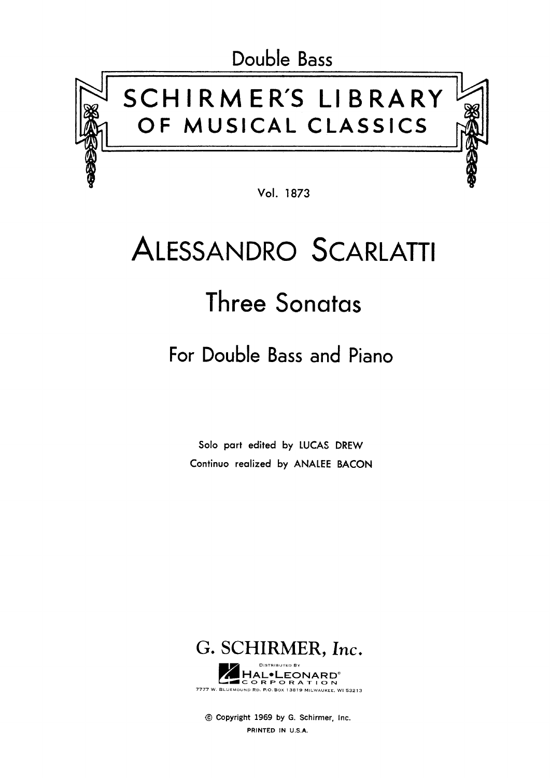Double Bass

SCHIRMER'S LIBRARY<br>OF MUSICAL CLASSICS

Vol. 1873

# **ALESSANDRO SCARLATTI Three Sonatas**

For Double Bass and Piano

Solo part edited by LUCAS DREW Continuo realized by ANALEE BACON



© Copyright 1969 by G. Schirmer, Inc. PRINTED IN U.S.A.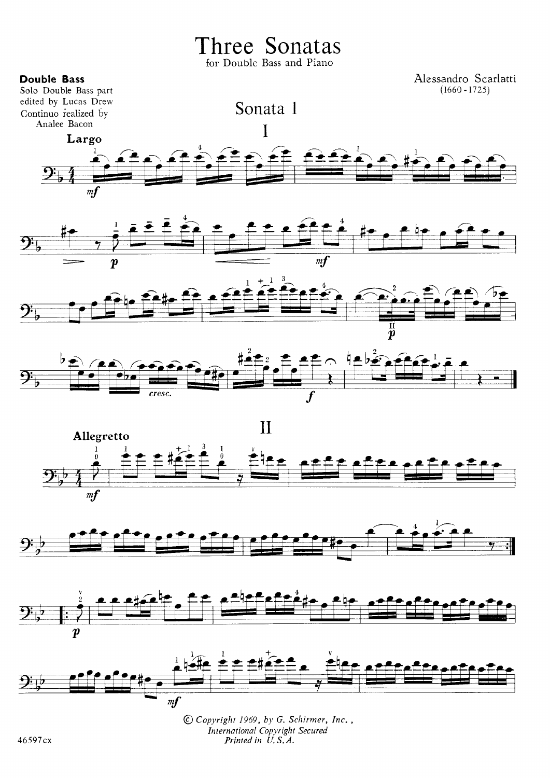Three Sonatas

for Double Bass and Piano

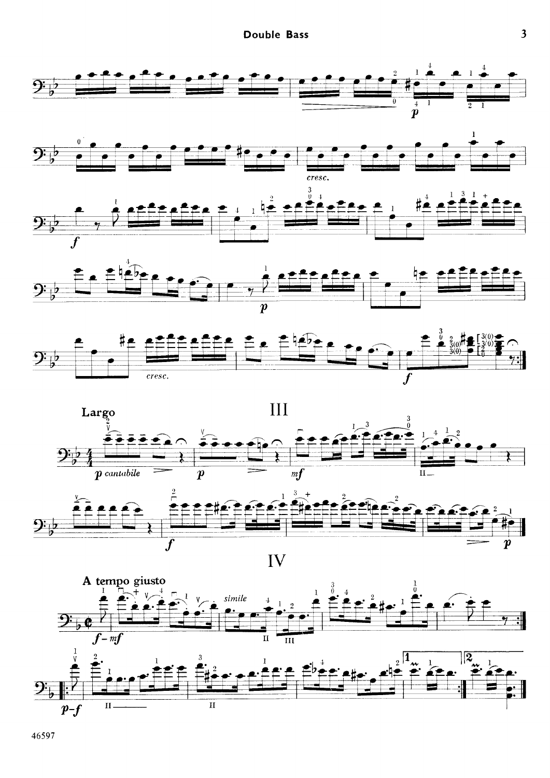











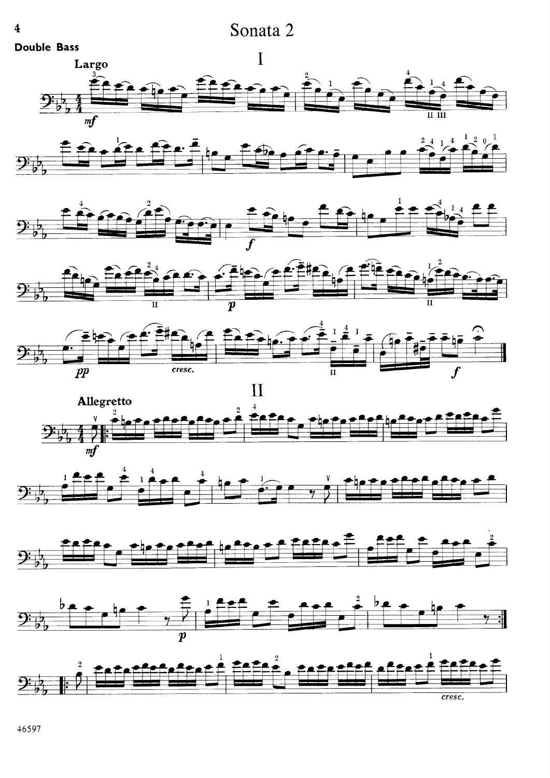### Sonata 2

**Double Bass** 

 $\overline{\mathbf{4}}$ 



















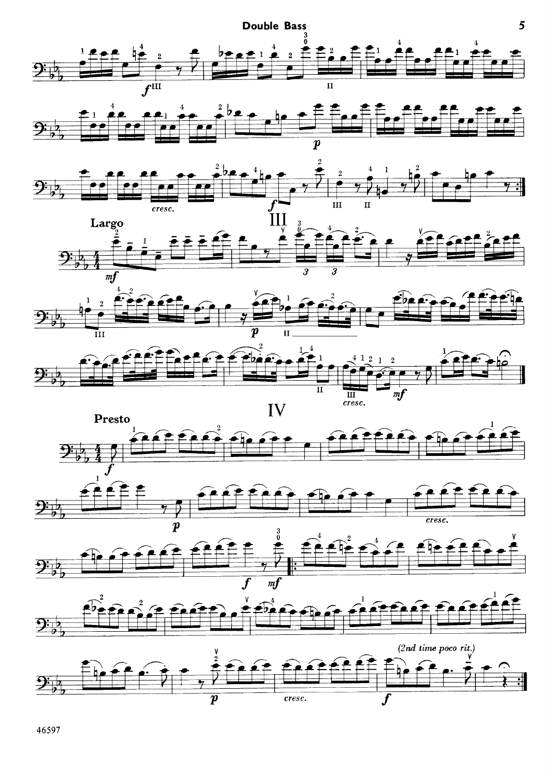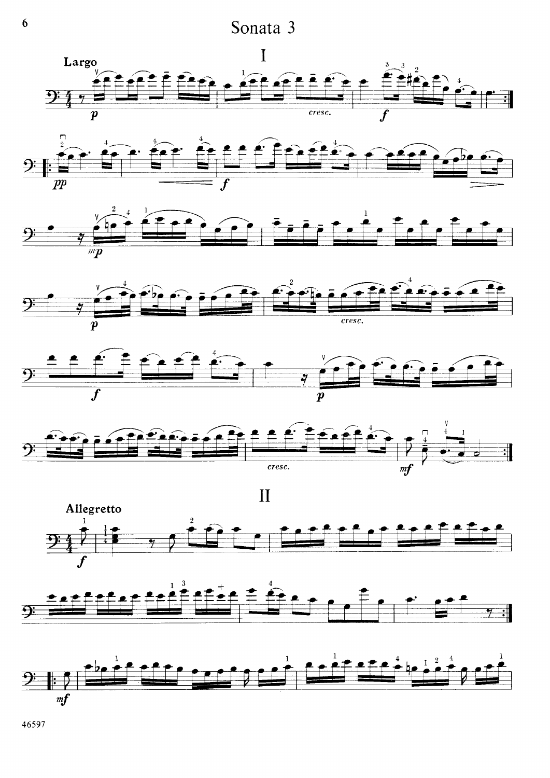### Sonata<sub>3</sub>













 $\mathbf{H}$ 







6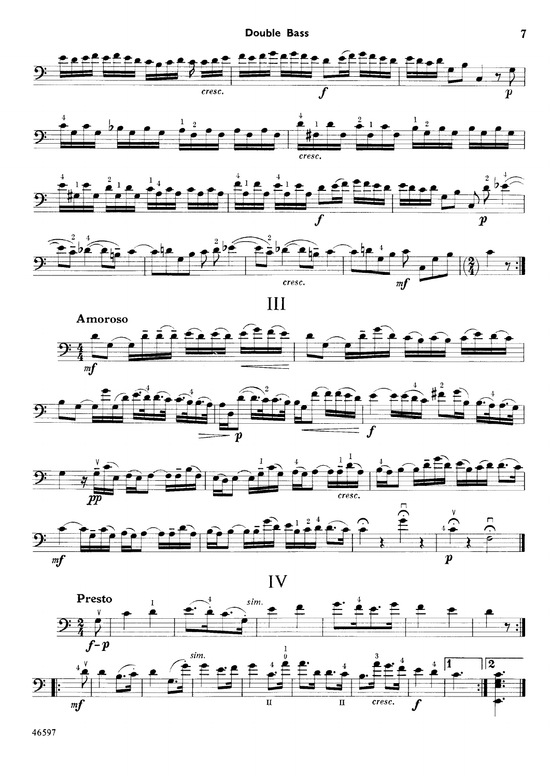#### Double Bass

















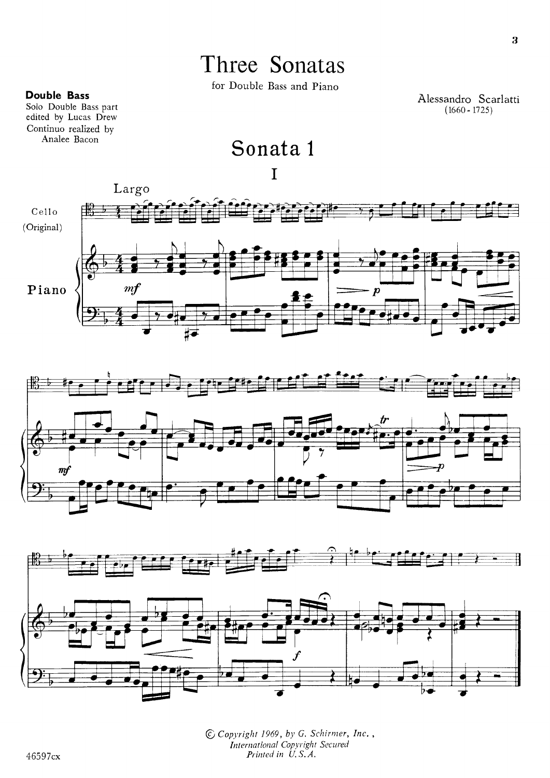# Three Sonatas

for Double Bass and Piano

#### **Double Bass**



Alessandro Scarlatti (1660 - 1725)







C Copyright 1969, by G. Schirmer, Inc.,<br>International Copyright Secured<br>Printed in U.S.A.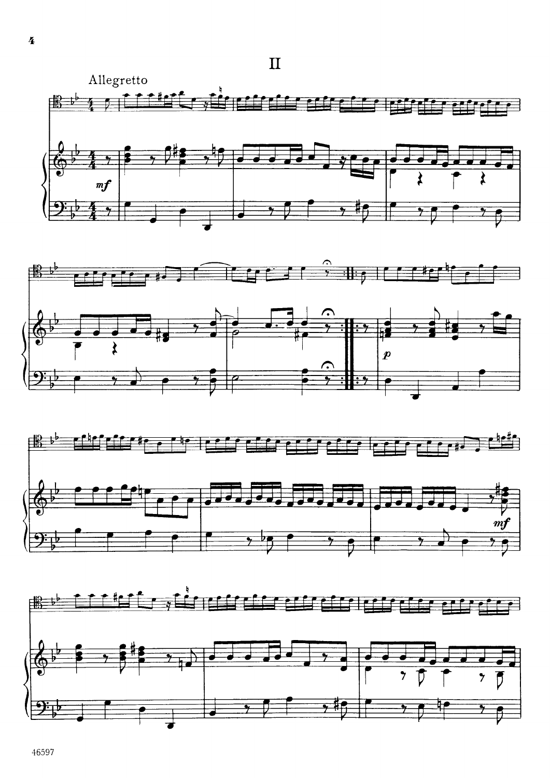





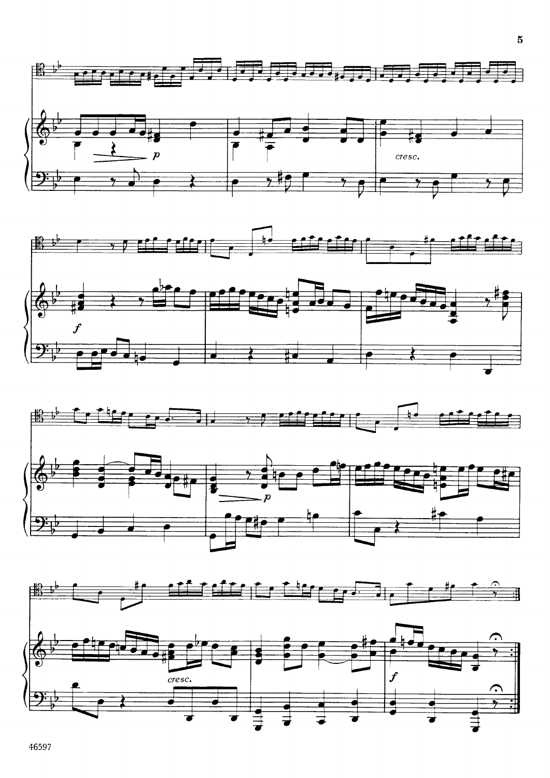





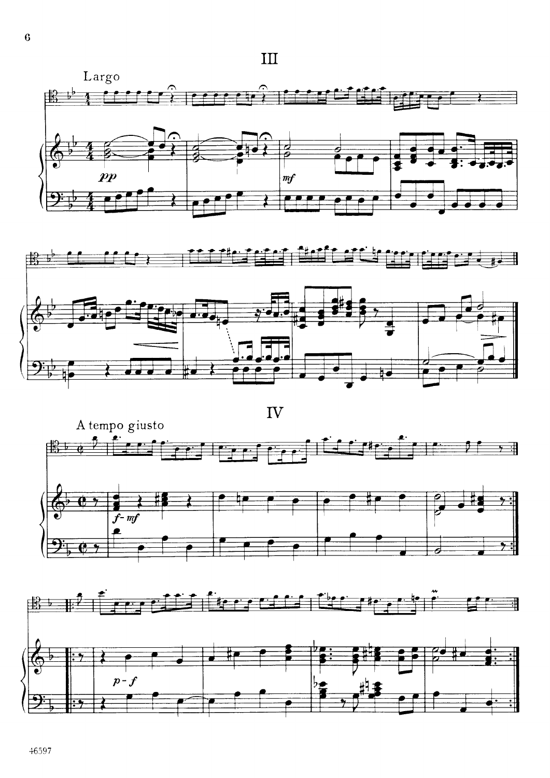





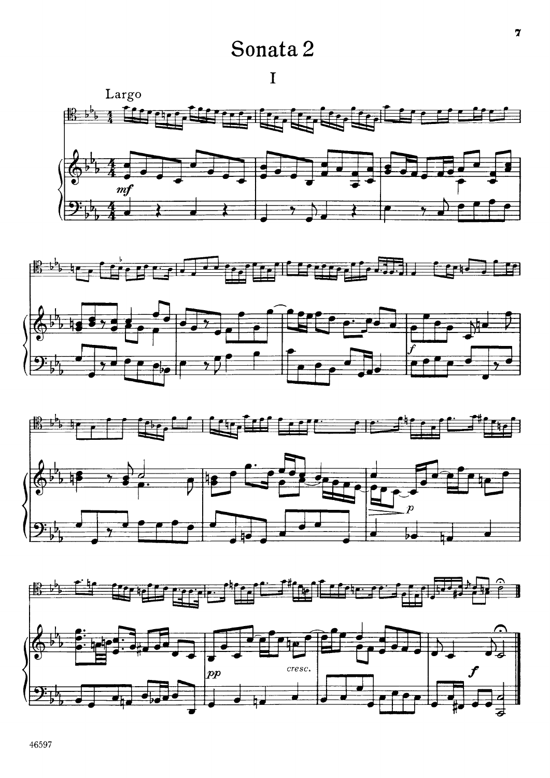### Sonata<sub>2</sub>

I







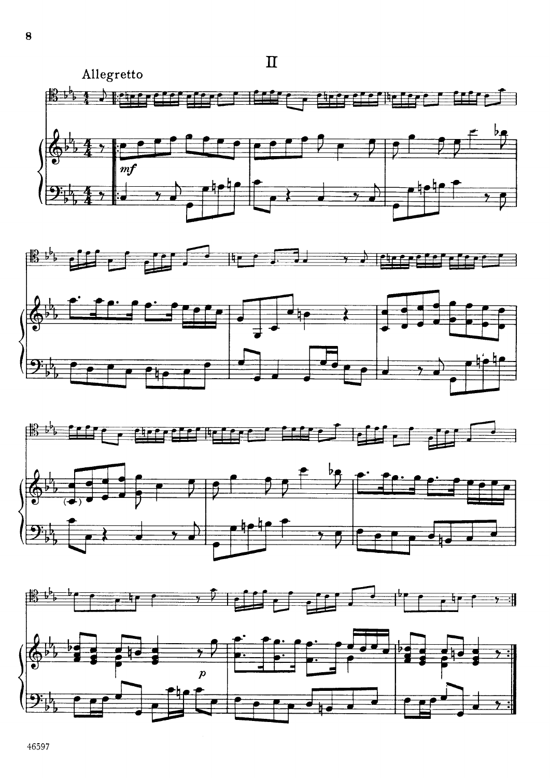





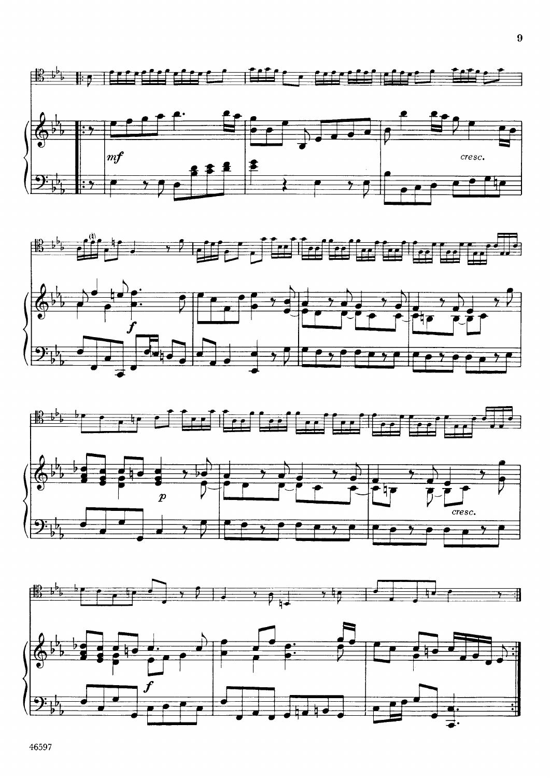





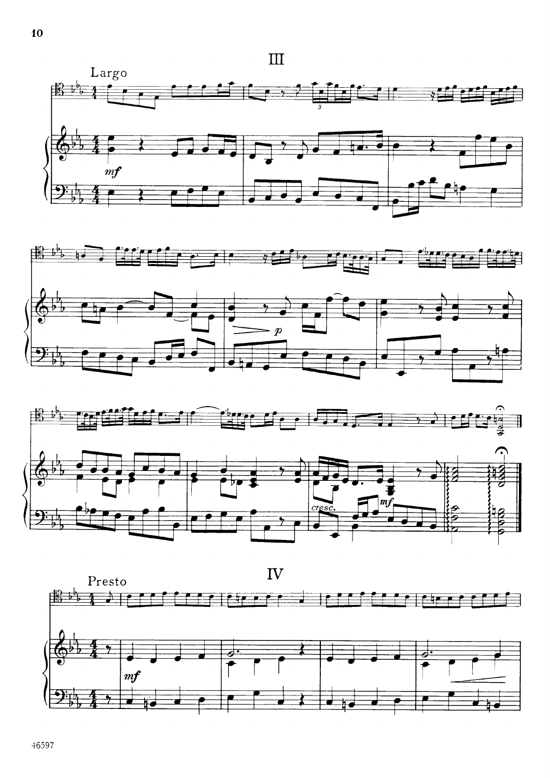





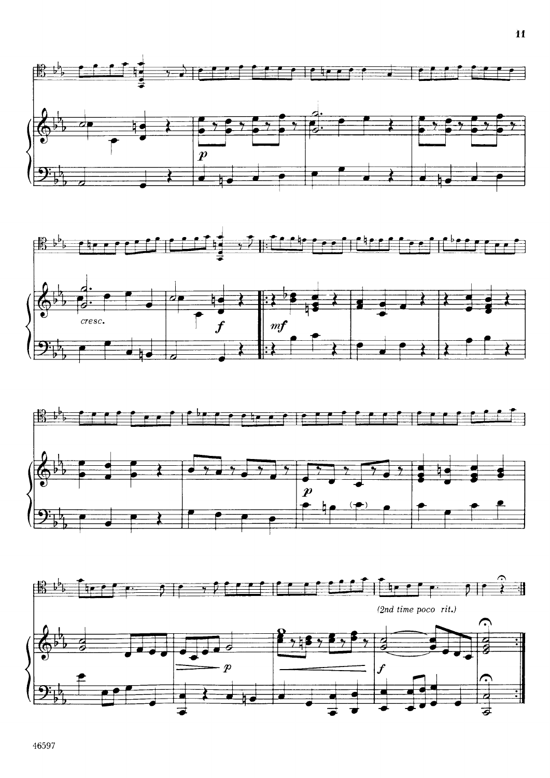





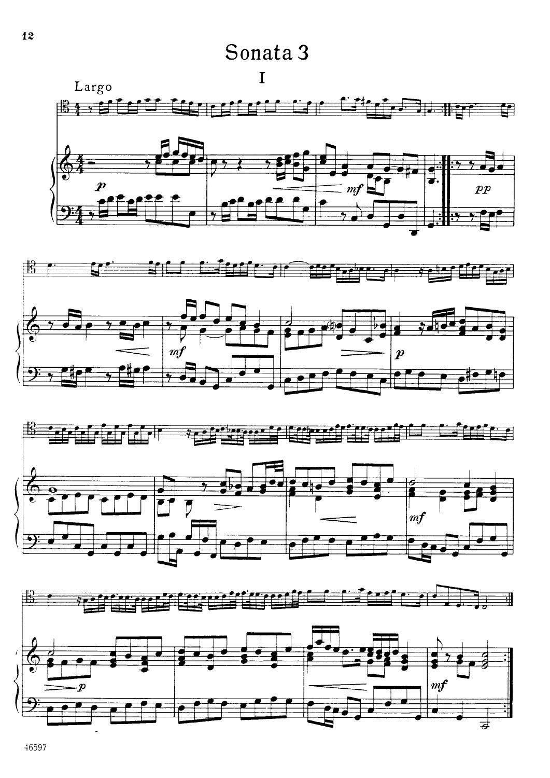## Sonata 3







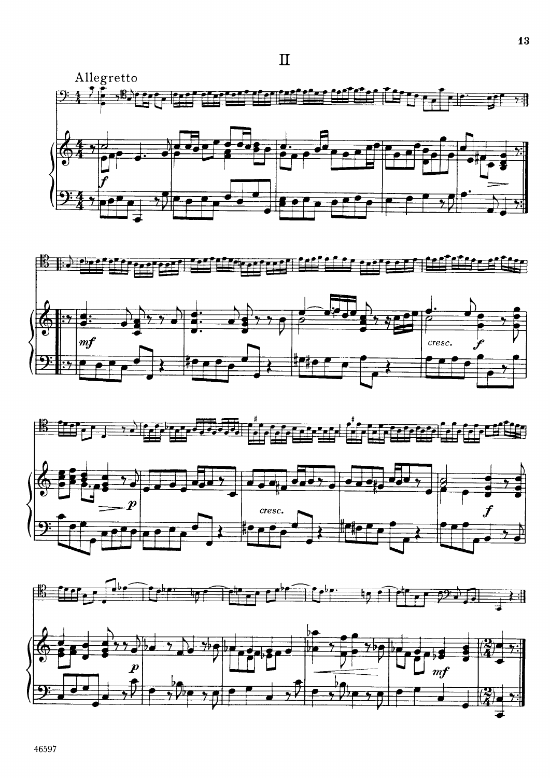







 $\overline{\mathbf{u}}$